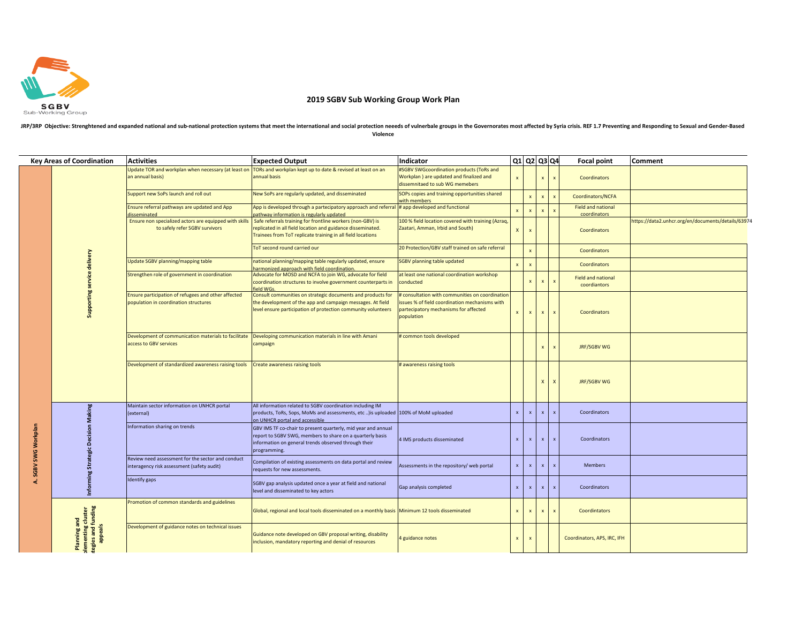

## **2019 SGBV Sub Working Group Work Plan**

## JRP/3RP Objective: Strenghtened and expanded national and sub-national protection systems that meet the international and social protection neeeds of vulnerbale groups in the Governorates most affected by Syria crisis. REF **Violence**

|                   | <b>Key Areas of Coordination</b>                                    | <b>Activities</b>                                                                               | <b>Expected Output</b>                                                                                                                                                                             | Indicator                                                                                                                                                |                           |                           | $Q1$ Q2 Q3 Q4 |                           | <b>Focal point</b>                        | Comment                                            |
|-------------------|---------------------------------------------------------------------|-------------------------------------------------------------------------------------------------|----------------------------------------------------------------------------------------------------------------------------------------------------------------------------------------------------|----------------------------------------------------------------------------------------------------------------------------------------------------------|---------------------------|---------------------------|---------------|---------------------------|-------------------------------------------|----------------------------------------------------|
|                   | Supporting service delivery                                         | Update TOR and workplan when necessary (at least on<br>an annual basis)                         | TORs and workplan kept up to date & revised at least on an<br>annual basis                                                                                                                         | #SGBV SWGcoordination products (ToRs and<br>Workplan) are updated and finalized and<br>dissemnitaed to sub WG memebers                                   | $\boldsymbol{\mathsf{x}}$ |                           |               |                           | Coordinators                              |                                                    |
|                   |                                                                     | Support new SoPs launch and roll out                                                            | New SoPs are regularly updated, and disseminated                                                                                                                                                   | SOPs copies and training opportunities shared<br>with members                                                                                            |                           | $\boldsymbol{\mathsf{x}}$ | $\mathbf{x}$  | $\mathbf{x}$              | Coordinators/NCFA                         |                                                    |
|                   |                                                                     | Ensure referral pathways are updated and App<br>disseminated                                    | App is developed through a partecipatory approach and referral<br>bathway information is regularly updated                                                                                         | # app developed and functional                                                                                                                           | $\mathbf{x}$              | $\pmb{\mathsf{x}}$        | $\mathbf{x}$  | $\mathbf{x}$              | <b>Field and national</b><br>coordinators |                                                    |
|                   |                                                                     | Ensure non specialized actors are equipped with skills<br>to safely refer SGBV survivors        | Safe referrals training for frontline workers (non-GBV) is<br>eplicated in all field location and guidance disseminated.<br>Trainees from ToT replicate training in all field locations            | 100 % field location covered with training (Azraq,<br>Zaatari, Amman, Irbid and South)                                                                   | $\mathbf{x}$              | $\boldsymbol{\mathsf{x}}$ |               |                           | Coordinators                              | https://data2.unhcr.org/en/documents/details/63974 |
|                   |                                                                     |                                                                                                 | ToT second round carried our                                                                                                                                                                       | 20 Protection/GBV staff trained on safe referral                                                                                                         |                           | $\boldsymbol{\mathsf{x}}$ |               |                           | Coordinators                              |                                                    |
|                   |                                                                     | Update SGBV planning/mapping table                                                              | national planning/mapping table regularly updated, ensure<br>narmonized approach with field coordination                                                                                           | <b>SGBV planning table updated</b>                                                                                                                       | $\mathbf{x}$              | $\boldsymbol{\mathsf{x}}$ |               |                           | Coordinators                              |                                                    |
| SGBV SWG Workplan |                                                                     | Strengthen role of government in coordination                                                   | Advocate for MOSD and NCFA to join WG, advocate for field<br>coordination structures to involve government counterparts in<br>ield WGs                                                             | at least one national coordination workshop<br>conducted                                                                                                 |                           | $\mathbf{x}$              | $\mathbf{x}$  |                           | <b>Field and national</b><br>coordiantors |                                                    |
|                   |                                                                     | Ensure participation of refugees and other affected<br>population in coordination structures    | Consult communities on strategic documents and products for<br>the development of the app and campaign messages. At field<br>level ensure participation of protection community volunteers         | # consultation with communities on coordination<br>issues % of field coordination mechanisms with<br>partecipatory mechanisms for affected<br>population | $\mathbf{x}$              | $\pmb{\mathsf{x}}$        | $\mathbf{x}$  | $\mathbf{x}$              | Coordinators                              |                                                    |
|                   |                                                                     | Development of communication materials to facilitate<br>access to GBV services                  | Developing communication materials in line with Amani<br>campaign                                                                                                                                  | # common tools developed                                                                                                                                 |                           |                           | $\mathsf{x}$  | $\mathbf{x}$              | JRF/SGBV WG                               |                                                    |
|                   |                                                                     | Development of standardized awareness raising tools                                             | Create awareness raising tools                                                                                                                                                                     | # awareness raising tools                                                                                                                                |                           |                           | X             | X                         | <b>JRF/SGBV WG</b>                        |                                                    |
|                   | Informing Strategic Decision Making                                 | Maintain sector information on UNHCR portal<br>(external)                                       | All information related to SGBV coordination including IM<br>products, ToRs, Sops, MoMs and assessments, etc ) is uploaded 100% of MoM uploaded<br>on UNHCR portal and accessible                  |                                                                                                                                                          | $\mathbf{x}$              | $\mathbf{x}$              | $\mathbf{x}$  | $\boldsymbol{\mathsf{x}}$ | Coordinators                              |                                                    |
|                   |                                                                     | Information sharing on trends                                                                   | GBV IMS TF co-chair to present quarterly, mid year and annual<br>report to SGBV SWG, members to share on a quarterly basis<br>information on general trends observed through their<br>programming. | 4 IMS products disseminated                                                                                                                              | $\mathsf{x}$              | $\mathbf x$               | $\mathbf{x}$  | $\pmb{\mathsf{x}}$        | Coordinators                              |                                                    |
|                   |                                                                     | Review need assessment for the sector and conduct<br>interagency risk assessment (safety audit) | Compilation of existing assessments on data portal and review<br>requests for new assessments.                                                                                                     | Assessments in the repository/ web portal                                                                                                                | $\mathbf{x}$              | $\boldsymbol{\mathsf{x}}$ |               |                           | <b>Members</b>                            |                                                    |
| નં                |                                                                     | Identify gaps                                                                                   | SGBV gap analysis updated once a year at field and national<br>level and disseminated to key actors                                                                                                | Gap analysis completed                                                                                                                                   | $\boldsymbol{\mathsf{x}}$ | $\mathbf x$               |               |                           | Coordinators                              |                                                    |
|                   | Planning and<br>plementing cluster<br>tegies and funding<br>appeals | Promotion of common standards and guidelines                                                    | Global, regional and local tools disseminated on a monthly basis   Minimum 12 tools disseminated                                                                                                   |                                                                                                                                                          | $\mathsf{x}$              | $\mathbf{x}$              |               | $\boldsymbol{\mathsf{x}}$ | Coordintators                             |                                                    |
|                   |                                                                     | Development of guidance notes on technical issues                                               | Guidance note developed on GBV proposal writing, disability<br>inclusion, mandatory reporting and denial of resources                                                                              | 4 guidance notes                                                                                                                                         | $\boldsymbol{\mathsf{x}}$ | $\boldsymbol{\mathsf{x}}$ |               |                           | Coordinators, APS, IRC, IFH               |                                                    |